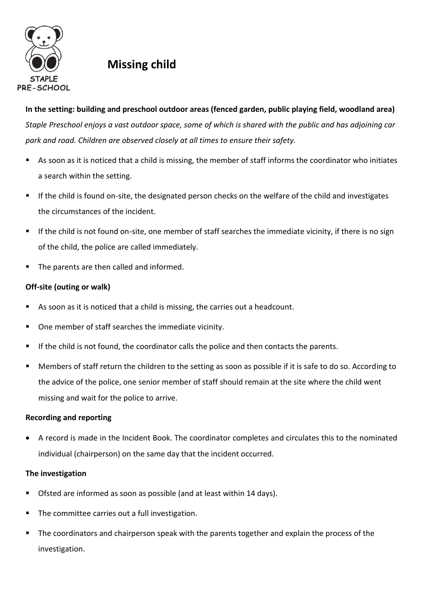

## **Missing child**

**In the setting: building and preschool outdoor areas (fenced garden, public playing field, woodland area)**  *Staple Preschool enjoys a vast outdoor space, some of which is shared with the public and has adjoining car park and road. Children are observed closely at all times to ensure their safety.* 

- As soon as it is noticed that a child is missing, the member of staff informs the coordinator who initiates a search within the setting.
- If the child is found on-site, the designated person checks on the welfare of the child and investigates the circumstances of the incident.
- If the child is not found on-site, one member of staff searches the immediate vicinity, if there is no sign of the child, the police are called immediately.
- The parents are then called and informed.

## **Off-site (outing or walk)**

- As soon as it is noticed that a child is missing, the carries out a headcount.
- One member of staff searches the immediate vicinity.
- If the child is not found, the coordinator calls the police and then contacts the parents.
- Members of staff return the children to the setting as soon as possible if it is safe to do so. According to the advice of the police, one senior member of staff should remain at the site where the child went missing and wait for the police to arrive.

## **Recording and reporting**

 A record is made in the Incident Book. The coordinator completes and circulates this to the nominated individual (chairperson) on the same day that the incident occurred.

## **The investigation**

- Ofsted are informed as soon as possible (and at least within 14 days).
- The committee carries out a full investigation.
- The coordinators and chairperson speak with the parents together and explain the process of the investigation.